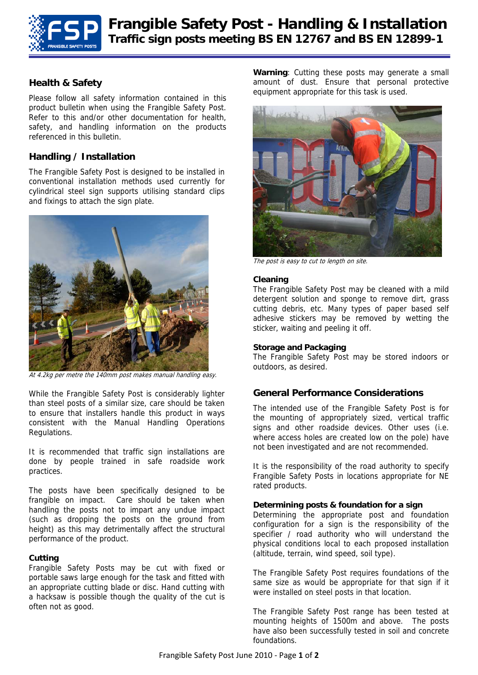

## **Health & Safety**

Please follow all safety information contained in this product bulletin when using the Frangible Safety Post. Refer to this and/or other documentation for health, safety, and handling information on the products referenced in this bulletin.

# **Handling / Installation**

The Frangible Safety Post is designed to be installed in conventional installation methods used currently for cylindrical steel sign supports utilising standard clips and fixings to attach the sign plate.



At 4.2kg per metre the 140mm post makes manual handling easy.

While the Frangible Safety Post is considerably lighter than steel posts of a similar size, care should be taken to ensure that installers handle this product in ways consistent with the Manual Handling Operations Regulations.

It is recommended that traffic sign installations are done by people trained in safe roadside work practices.

The posts have been specifically designed to be frangible on impact. Care should be taken when handling the posts not to impart any undue impact (such as dropping the posts on the ground from height) as this may detrimentally affect the structural performance of the product.

## **Cutting**

Frangible Safety Posts may be cut with fixed or portable saws large enough for the task and fitted with an appropriate cutting blade or disc. Hand cutting with a hacksaw is possible though the quality of the cut is often not as good.

**Warning**: Cutting these posts may generate a small amount of dust. Ensure that personal protective equipment appropriate for this task is used.



The post is easy to cut to length on site.

#### **Cleaning**

The Frangible Safety Post may be cleaned with a mild detergent solution and sponge to remove dirt, grass cutting debris, etc. Many types of paper based self adhesive stickers may be removed by wetting the sticker, waiting and peeling it off.

#### **Storage and Packaging**

The Frangible Safety Post may be stored indoors or outdoors, as desired.

## **General Performance Considerations**

The intended use of the Frangible Safety Post is for the mounting of appropriately sized, vertical traffic signs and other roadside devices. Other uses (i.e. where access holes are created low on the pole) have not been investigated and are not recommended.

It is the responsibility of the road authority to specify Frangible Safety Posts in locations appropriate for NE rated products.

#### **Determining posts & foundation for a sign**

Determining the appropriate post and foundation configuration for a sign is the responsibility of the specifier / road authority who will understand the physical conditions local to each proposed installation (altitude, terrain, wind speed, soil type).

The Frangible Safety Post requires foundations of the same size as would be appropriate for that sign if it were installed on steel posts in that location.

The Frangible Safety Post range has been tested at mounting heights of 1500m and above. The posts have also been successfully tested in soil and concrete foundations.